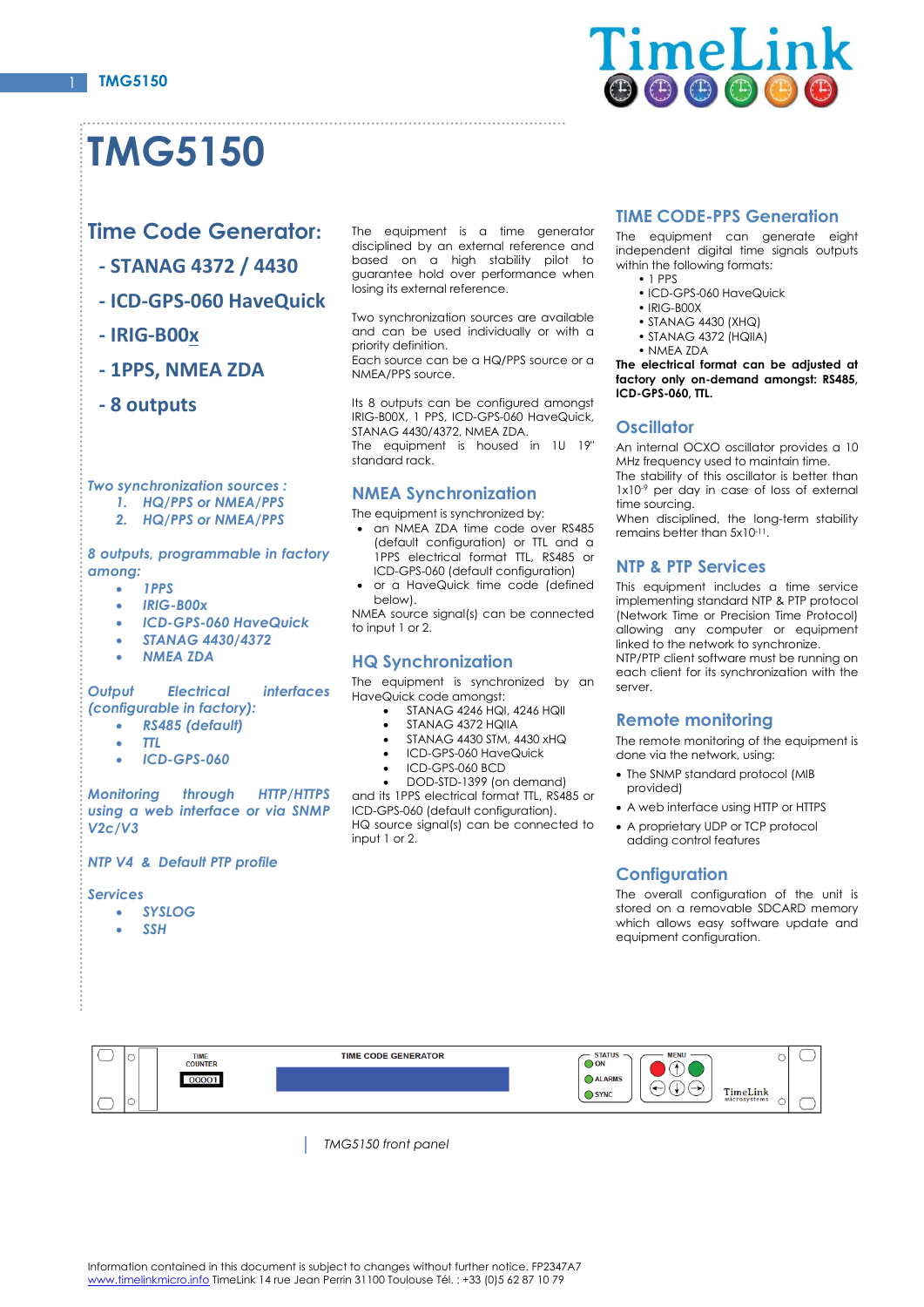

# **TMG5150**

## **Time Code Generator:**

- **- STANAG 4372 / 4430**
- **- ICD-GPS-060 HaveQuick**
- **- IRIG-B00x**
- **- 1PPS, NMEA ZDA**
- **- 8 outputs**

#### *Two synchronization sources :*

- *1. HQ/PPS or NMEA/PPS*
- *2. HQ/PPS or NMEA/PPS*

#### *8 outputs, programmable in factory among:*

- *1PPS*
- *IRIG-B00x*
- *ICD-GPS-060 HaveQuick*
- *STANAG 4430/4372*
- *NMEA ZDA*

#### *Output Electrical interfaces (configurable in factory):*

- *RS485 (default)*
- *TTL*
- *ICD-GPS-060*

*Monitoring through HTTP/HTTPS using a web interface or via SNMP V2c/V3*

#### *NTP V4 & Default PTP profile*

#### *Services*

- *SYSLOG*
- *SSH*

The equipment is a time generator disciplined by an external reference and based on a high stability pilot to guarantee hold over performance when losing its external reference.

Two synchronization sources are available and can be used individually or with a priority definition.

Each source can be a HQ/PPS source or a NMEA/PPS source.

Its 8 outputs can be configured amongst IRIG-B00X, 1 PPS, ICD-GPS-060 HaveQuick, STANAG 4430/4372, NMEA ZDA. The equipment is housed in 1U 19" standard rack.

## **NMEA Synchronization**

- The equipment is synchronized by:
- an NMEA ZDA time code over RS485 (default configuration) or TTL and a 1PPS electrical format TTL, RS485 or ICD-GPS-060 (default configuration)
- or a HaveQuick time code (defined below).

NMEA source signal(s) can be connected to input 1 or 2.

#### **HQ Synchronization**

The equipment is synchronized by an HaveQuick code amongst:

- STANAG 4246 HQI, 4246 HQII
- STANAG 4372 HQIIA
- STANAG 4430 STM, 4430 xHQ
- ICD-GPS-060 HaveQuick
- ICD-GPS-060 BCD
- DOD-STD-1399 (on demand)

and its 1PPS electrical format TTL, RS485 or ICD-GPS-060 (default configuration). HQ source signal(s) can be connected to input 1 or 2.

#### **TIME CODE-PPS Generation**

The equipment can generate eight independent digital time signals outputs within the following formats:

- 1 PPS • ICD-GPS-060 HaveQuick
- IRIG-B00X
- STANAG 4430 (XHQ)
- $\cdot$  STANAG 4372 (HQIIA)
- NMEA ZDA

**The electrical format can be adjusted at factory only on-demand amongst: RS485, ICD-GPS-060, TTL.**

## **Oscillator**

An internal OCXO oscillator provides a 10 MHz frequency used to maintain time. The stability of this oscillator is better than 1x10<sup>-9</sup> per day in case of loss of external

time sourcing. When disciplined, the long-term stability

remains better than 5x10<sup>-11</sup>.

## **NTP & PTP Services**

This equipment includes a time service implementing standard NTP & PTP protocol (Network Time or Precision Time Protocol) allowing any computer or equipment linked to the network to synchronize. NTP/PTP client software must be running on

each client for its synchronization with the server.

## **Remote monitoring**

The remote monitoring of the equipment is done via the network, using:

- The SNMP standard protocol (MIB provided)
- A web interface using HTTP or HTTPS
- A proprietary UDP or TCP protocol adding control features

## **Configuration**

The overall configuration of the unit is stored on a removable SDCARD memory which allows easy software update and equipment configuration.



*TMG5150 front panel*